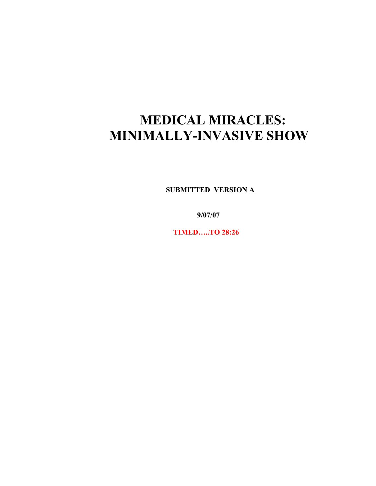## **MEDICAL MIRACLES: MINIMALLY-INVASIVE SHOW**

 **SUBMITTED VERSION A**

 **9/07/07**

 **TIMED…..TO 28:26**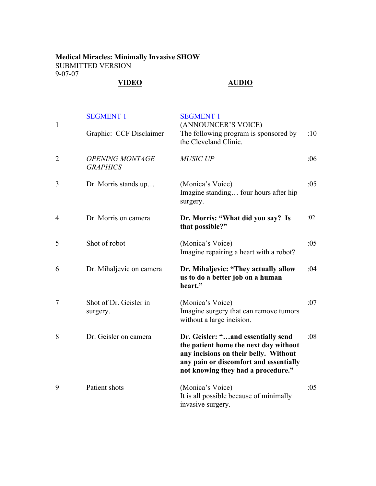## **Medical Miracles: Minimally Invasive SHOW** SUBMITTED VERSION 9-07-07

## **VIDEO AUDIO**

| $\mathbf{1}$   | <b>SEGMENT 1</b>                          | <b>SEGMENT 1</b><br>(ANNOUNCER'S VOICE)                                                                                                                                                              |     |
|----------------|-------------------------------------------|------------------------------------------------------------------------------------------------------------------------------------------------------------------------------------------------------|-----|
|                | Graphic: CCF Disclaimer                   | The following program is sponsored by<br>the Cleveland Clinic.                                                                                                                                       | :10 |
| $\overline{2}$ | <b>OPENING MONTAGE</b><br><b>GRAPHICS</b> | <b>MUSIC UP</b>                                                                                                                                                                                      | :06 |
| 3              | Dr. Morris stands up                      | (Monica's Voice)<br>Imagine standing four hours after hip<br>surgery.                                                                                                                                | :05 |
| $\overline{4}$ | Dr. Morris on camera                      | Dr. Morris: "What did you say? Is<br>that possible?"                                                                                                                                                 | :02 |
| 5              | Shot of robot                             | (Monica's Voice)<br>Imagine repairing a heart with a robot?                                                                                                                                          | :05 |
| 6              | Dr. Mihaljevic on camera                  | Dr. Mihaljevic: "They actually allow<br>us to do a better job on a human<br>heart."                                                                                                                  | :04 |
| $\tau$         | Shot of Dr. Geisler in<br>surgery.        | (Monica's Voice)<br>Imagine surgery that can remove tumors<br>without a large incision.                                                                                                              | :07 |
| 8              | Dr. Geisler on camera                     | Dr. Geisler: "and essentially send<br>the patient home the next day without<br>any incisions on their belly. Without<br>any pain or discomfort and essentially<br>not knowing they had a procedure." | :08 |
| 9              | Patient shots                             | (Monica's Voice)<br>It is all possible because of minimally<br>invasive surgery.                                                                                                                     | :05 |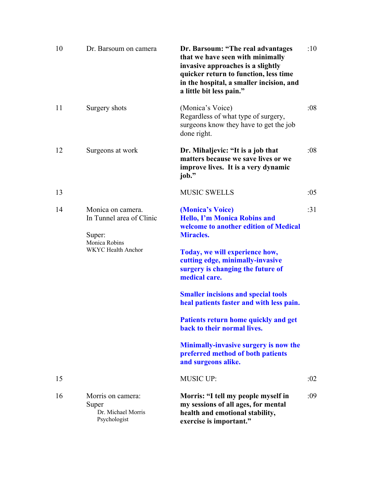| 10 | Dr. Barsoum on camera                                                                          | Dr. Barsoum: "The real advantages<br>that we have seen with minimally<br>invasive approaches is a slightly<br>quicker return to function, less time<br>in the hospital, a smaller incision, and<br>a little bit less pain."                                                                                                                                                                                                                                                                                            | :10 |
|----|------------------------------------------------------------------------------------------------|------------------------------------------------------------------------------------------------------------------------------------------------------------------------------------------------------------------------------------------------------------------------------------------------------------------------------------------------------------------------------------------------------------------------------------------------------------------------------------------------------------------------|-----|
| 11 | Surgery shots                                                                                  | (Monica's Voice)<br>Regardless of what type of surgery,<br>surgeons know they have to get the job<br>done right.                                                                                                                                                                                                                                                                                                                                                                                                       | :08 |
| 12 | Surgeons at work                                                                               | Dr. Mihaljevic: "It is a job that<br>matters because we save lives or we<br>improve lives. It is a very dynamic<br>job."                                                                                                                                                                                                                                                                                                                                                                                               | :08 |
| 13 |                                                                                                | <b>MUSIC SWELLS</b>                                                                                                                                                                                                                                                                                                                                                                                                                                                                                                    | :05 |
| 14 | Monica on camera.<br>In Tunnel area of Clinic<br>Super:<br>Monica Robins<br>WKYC Health Anchor | (Monica's Voice)<br><b>Hello, I'm Monica Robins and</b><br>welcome to another edition of Medical<br><b>Miracles.</b><br>Today, we will experience how,<br>cutting edge, minimally-invasive<br>surgery is changing the future of<br>medical care.<br><b>Smaller incisions and special tools</b><br>heal patients faster and with less pain.<br>Patients return home quickly and get<br>back to their normal lives.<br>Minimally-invasive surgery is now the<br>preferred method of both patients<br>and surgeons alike. | :31 |
| 15 |                                                                                                | <b>MUSIC UP:</b>                                                                                                                                                                                                                                                                                                                                                                                                                                                                                                       | :02 |
| 16 | Morris on camera:<br>Super<br>Dr. Michael Morris<br>Psychologist                               | Morris: "I tell my people myself in<br>my sessions of all ages, for mental<br>health and emotional stability,<br>exercise is important."                                                                                                                                                                                                                                                                                                                                                                               | :09 |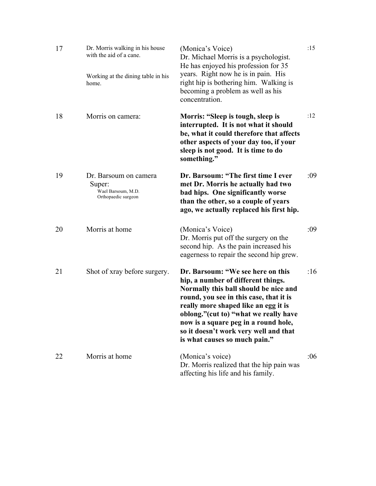| 17 | Dr. Morris walking in his house<br>with the aid of a cane.<br>Working at the dining table in his<br>home. | (Monica's Voice)<br>Dr. Michael Morris is a psychologist.<br>He has enjoyed his profession for 35<br>years. Right now he is in pain. His<br>right hip is bothering him. Walking is<br>becoming a problem as well as his<br>concentration.                                                                                                                      | :15 |
|----|-----------------------------------------------------------------------------------------------------------|----------------------------------------------------------------------------------------------------------------------------------------------------------------------------------------------------------------------------------------------------------------------------------------------------------------------------------------------------------------|-----|
| 18 | Morris on camera:                                                                                         | Morris: "Sleep is tough, sleep is<br>interrupted. It is not what it should<br>be, what it could therefore that affects<br>other aspects of your day too, if your<br>sleep is not good. It is time to do<br>something."                                                                                                                                         | :12 |
| 19 | Dr. Barsoum on camera<br>Super:<br>Wael Barsoum, M.D.<br>Orthopaedic surgeon                              | Dr. Barsoum: "The first time I ever<br>met Dr. Morris he actually had two<br>bad hips. One significantly worse<br>than the other, so a couple of years<br>ago, we actually replaced his first hip.                                                                                                                                                             | :09 |
| 20 | Morris at home                                                                                            | (Monica's Voice)<br>Dr. Morris put off the surgery on the<br>second hip. As the pain increased his<br>eagerness to repair the second hip grew.                                                                                                                                                                                                                 | :09 |
| 21 | Shot of xray before surgery.                                                                              | Dr. Barsoum: "We see here on this<br>hip, a number of different things.<br>Normally this ball should be nice and<br>round, you see in this case, that it is<br>really more shaped like an egg it is<br>oblong."(cut to) "what we really have<br>now is a square peg in a round hole,<br>so it doesn't work very well and that<br>is what causes so much pain." | :16 |
| 22 | Morris at home                                                                                            | (Monica's voice)<br>Dr. Morris realized that the hip pain was<br>affecting his life and his family.                                                                                                                                                                                                                                                            | :06 |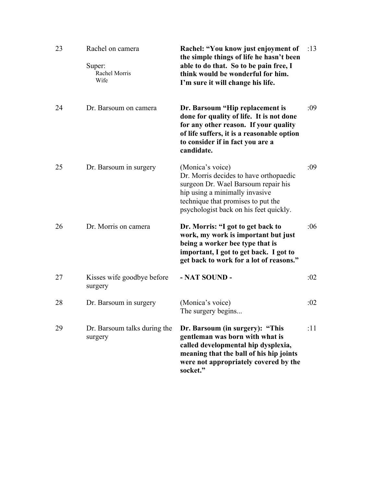| 23 | Rachel on camera<br>Super:<br>Rachel Morris<br>Wife | Rachel: "You know just enjoyment of<br>the simple things of life he hasn't been<br>able to do that. So to be pain free, I<br>think would be wonderful for him.<br>I'm sure it will change his life.                  | :13 |
|----|-----------------------------------------------------|----------------------------------------------------------------------------------------------------------------------------------------------------------------------------------------------------------------------|-----|
| 24 | Dr. Barsoum on camera                               | Dr. Barsoum "Hip replacement is<br>done for quality of life. It is not done<br>for any other reason. If your quality<br>of life suffers, it is a reasonable option<br>to consider if in fact you are a<br>candidate. | :09 |
| 25 | Dr. Barsoum in surgery                              | (Monica's voice)<br>Dr. Morris decides to have orthopaedic<br>surgeon Dr. Wael Barsoum repair his<br>hip using a minimally invasive<br>technique that promises to put the<br>psychologist back on his feet quickly.  | :09 |
| 26 | Dr. Morris on camera                                | Dr. Morris: "I got to get back to<br>work, my work is important but just<br>being a worker bee type that is<br>important, I got to get back. I got to<br>get back to work for a lot of reasons."                     | :06 |
| 27 | Kisses wife goodbye before<br>surgery               | - NAT SOUND -                                                                                                                                                                                                        | :02 |
| 28 | Dr. Barsoum in surgery                              | (Monica's voice)<br>The surgery begins                                                                                                                                                                               | :02 |
| 29 | Dr. Barsoum talks during the<br>surgery             | Dr. Barsoum (in surgery): "This<br>gentleman was born with what is<br>called developmental hip dysplexia,<br>meaning that the ball of his hip joints<br>were not appropriately covered by the<br>socket."            | :11 |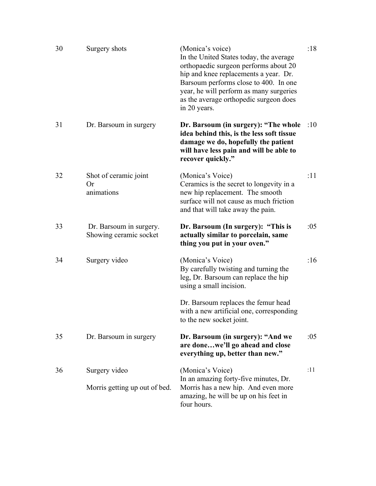| 30 | Surgery shots                                     | (Monica's voice)<br>In the United States today, the average<br>orthopaedic surgeon performs about 20<br>hip and knee replacements a year. Dr.<br>Barsoum performs close to 400. In one<br>year, he will perform as many surgeries<br>as the average orthopedic surgeon does<br>in 20 years. | :18 |
|----|---------------------------------------------------|---------------------------------------------------------------------------------------------------------------------------------------------------------------------------------------------------------------------------------------------------------------------------------------------|-----|
| 31 | Dr. Barsoum in surgery                            | Dr. Barsoum (in surgery): "The whole<br>idea behind this, is the less soft tissue<br>damage we do, hopefully the patient<br>will have less pain and will be able to<br>recover quickly."                                                                                                    | :10 |
| 32 | Shot of ceramic joint<br><b>Or</b><br>animations  | (Monica's Voice)<br>Ceramics is the secret to longevity in a<br>new hip replacement. The smooth<br>surface will not cause as much friction<br>and that will take away the pain.                                                                                                             | :11 |
| 33 | Dr. Barsoum in surgery.<br>Showing ceramic socket | Dr. Barsoum (In surgery): "This is<br>actually similar to porcelain, same<br>thing you put in your oven."                                                                                                                                                                                   | :05 |
| 34 | Surgery video                                     | (Monica's Voice)<br>By carefully twisting and turning the<br>leg, Dr. Barsoum can replace the hip<br>using a small incision.                                                                                                                                                                | :16 |
|    |                                                   | Dr. Barsoum replaces the femur head<br>with a new artificial one, corresponding<br>to the new socket joint.                                                                                                                                                                                 |     |
| 35 | Dr. Barsoum in surgery                            | Dr. Barsoum (in surgery): "And we<br>are donewe'll go ahead and close<br>everything up, better than new."                                                                                                                                                                                   | :05 |
| 36 | Surgery video<br>Morris getting up out of bed.    | (Monica's Voice)<br>In an amazing forty-five minutes, Dr.<br>Morris has a new hip. And even more<br>amazing, he will be up on his feet in<br>four hours.                                                                                                                                    | :11 |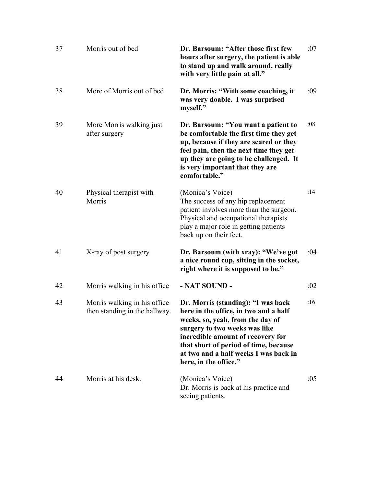| 37 | Morris out of bed                                             | Dr. Barsoum: "After those first few<br>hours after surgery, the patient is able<br>to stand up and walk around, really<br>with very little pain at all."                                                                                                                                         | :07 |
|----|---------------------------------------------------------------|--------------------------------------------------------------------------------------------------------------------------------------------------------------------------------------------------------------------------------------------------------------------------------------------------|-----|
| 38 | More of Morris out of bed                                     | Dr. Morris: "With some coaching, it<br>was very doable. I was surprised<br>myself."                                                                                                                                                                                                              | :09 |
| 39 | More Morris walking just<br>after surgery                     | Dr. Barsoum: "You want a patient to<br>be comfortable the first time they get<br>up, because if they are scared or they<br>feel pain, then the next time they get<br>up they are going to be challenged. It<br>is very important that they are<br>comfortable."                                  | :08 |
| 40 | Physical therapist with<br>Morris                             | (Monica's Voice)<br>The success of any hip replacement<br>patient involves more than the surgeon.<br>Physical and occupational therapists<br>play a major role in getting patients<br>back up on their feet.                                                                                     | :14 |
| 41 | X-ray of post surgery                                         | Dr. Barsoum (with xray): "We've got<br>a nice round cup, sitting in the socket,<br>right where it is supposed to be."                                                                                                                                                                            | :04 |
| 42 | Morris walking in his office.                                 | - NAT SOUND -                                                                                                                                                                                                                                                                                    | :02 |
| 43 | Morris walking in his office<br>then standing in the hallway. | Dr. Morris (standing): "I was back<br>here in the office, in two and a half<br>weeks, so, yeah, from the day of<br>surgery to two weeks was like<br>incredible amount of recovery for<br>that short of period of time, because<br>at two and a half weeks I was back in<br>here, in the office." | :16 |
| 44 | Morris at his desk.                                           | (Monica's Voice)<br>Dr. Morris is back at his practice and<br>seeing patients.                                                                                                                                                                                                                   | :05 |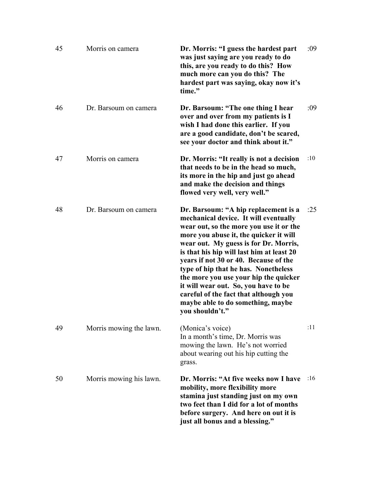| 45 | Morris on camera        | Dr. Morris: "I guess the hardest part<br>was just saying are you ready to do<br>this, are you ready to do this? How<br>much more can you do this? The<br>hardest part was saying, okay now it's<br>time."                                                                                                                                                                                                                                                                                                                   | :09 |
|----|-------------------------|-----------------------------------------------------------------------------------------------------------------------------------------------------------------------------------------------------------------------------------------------------------------------------------------------------------------------------------------------------------------------------------------------------------------------------------------------------------------------------------------------------------------------------|-----|
| 46 | Dr. Barsoum on camera   | Dr. Barsoum: "The one thing I hear<br>over and over from my patients is I<br>wish I had done this earlier. If you<br>are a good candidate, don't be scared,<br>see your doctor and think about it."                                                                                                                                                                                                                                                                                                                         | :09 |
| 47 | Morris on camera        | Dr. Morris: "It really is not a decision<br>that needs to be in the head so much,<br>its more in the hip and just go ahead<br>and make the decision and things<br>flowed very well, very well."                                                                                                                                                                                                                                                                                                                             | :10 |
| 48 | Dr. Barsoum on camera   | Dr. Barsoum: "A hip replacement is a<br>mechanical device. It will eventually<br>wear out, so the more you use it or the<br>more you abuse it, the quicker it will<br>wear out. My guess is for Dr. Morris,<br>is that his hip will last him at least 20<br>years if not 30 or 40. Because of the<br>type of hip that he has. Nonetheless<br>the more you use your hip the quicker<br>it will wear out. So, you have to be<br>careful of the fact that although you<br>maybe able to do something, maybe<br>you shouldn't." | :25 |
| 49 | Morris mowing the lawn. | (Monica's voice)<br>In a month's time, Dr. Morris was<br>mowing the lawn. He's not worried<br>about wearing out his hip cutting the<br>grass.                                                                                                                                                                                                                                                                                                                                                                               | :11 |
| 50 | Morris mowing his lawn. | Dr. Morris: "At five weeks now I have<br>mobility, more flexibility more<br>stamina just standing just on my own<br>two feet than I did for a lot of months<br>before surgery. And here on out it is<br>just all bonus and a blessing."                                                                                                                                                                                                                                                                                     | :16 |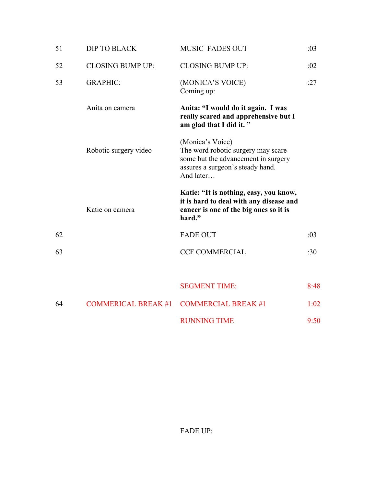| 51 | <b>DIP TO BLACK</b>        | <b>MUSIC FADES OUT</b>                                                                                                                         | :03  |
|----|----------------------------|------------------------------------------------------------------------------------------------------------------------------------------------|------|
| 52 | <b>CLOSING BUMP UP:</b>    | <b>CLOSING BUMP UP:</b>                                                                                                                        | :02  |
| 53 | <b>GRAPHIC:</b>            | (MONICA'S VOICE)<br>Coming up:                                                                                                                 | :27  |
|    | Anita on camera            | Anita: "I would do it again. I was<br>really scared and apprehensive but I<br>am glad that I did it."                                          |      |
|    | Robotic surgery video      | (Monica's Voice)<br>The word robotic surgery may scare<br>some but the advancement in surgery<br>assures a surgeon's steady hand.<br>And later |      |
|    | Katie on camera            | Katie: "It is nothing, easy, you know,<br>it is hard to deal with any disease and<br>cancer is one of the big ones so it is<br>hard."          |      |
|    |                            |                                                                                                                                                |      |
| 62 |                            | <b>FADE OUT</b>                                                                                                                                | :03  |
| 63 |                            | <b>CCF COMMERCIAL</b>                                                                                                                          | :30  |
|    |                            | <b>SEGMENT TIME:</b>                                                                                                                           | 8:48 |
| 64 | <b>COMMERICAL BREAK #1</b> | <b>COMMERCIAL BREAK #1</b>                                                                                                                     | 1:02 |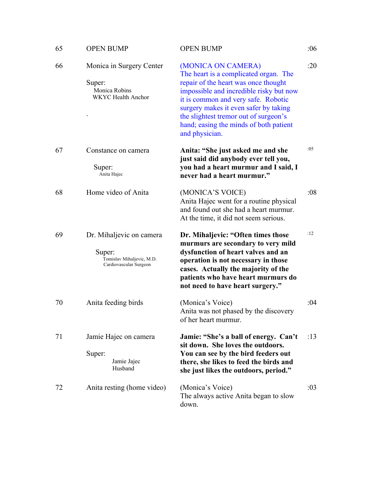| 65 | <b>OPEN BUMP</b>                                                                          | <b>OPEN BUMP</b>                                                                                                                                                                                                                                                                                                                    | :06 |
|----|-------------------------------------------------------------------------------------------|-------------------------------------------------------------------------------------------------------------------------------------------------------------------------------------------------------------------------------------------------------------------------------------------------------------------------------------|-----|
| 66 | Monica in Surgery Center<br>Super:<br>Monica Robins<br><b>WKYC</b> Health Anchor          | (MONICA ON CAMERA)<br>The heart is a complicated organ. The<br>repair of the heart was once thought<br>impossible and incredible risky but now<br>it is common and very safe. Robotic<br>surgery makes it even safer by taking<br>the slightest tremor out of surgeon's<br>hand; easing the minds of both patient<br>and physician. | :20 |
| 67 | Constance on camera<br>Super:<br>Anita Hajec                                              | Anita: "She just asked me and she<br>just said did anybody ever tell you,<br>you had a heart murmur and I said, I<br>never had a heart murmur."                                                                                                                                                                                     | :05 |
| 68 | Home video of Anita                                                                       | (MONICA'S VOICE)<br>Anita Hajec went for a routine physical<br>and found out she had a heart murmur.<br>At the time, it did not seem serious.                                                                                                                                                                                       | :08 |
| 69 | Dr. Mihaljevic on camera<br>Super:<br>Tomislav Mihaljevic, M.D.<br>Cardiovascular Surgeon | Dr. Mihaljevic: "Often times those<br>murmurs are secondary to very mild<br>dysfunction of heart valves and an<br>operation is not necessary in those<br>cases. Actually the majority of the<br>patients who have heart murmurs do<br>not need to have heart surgery."                                                              | :12 |
| 70 | Anita feeding birds                                                                       | (Monica's Voice)<br>Anita was not phased by the discovery<br>of her heart murmur.                                                                                                                                                                                                                                                   | :04 |
| 71 | Jamie Hajec on camera<br>Super:<br>Jamie Jajec<br>Husband                                 | Jamie: "She's a ball of energy. Can't<br>sit down. She loves the outdoors.<br>You can see by the bird feeders out<br>there, she likes to feed the birds and<br>she just likes the outdoors, period."                                                                                                                                | :13 |
| 72 | Anita resting (home video)                                                                | (Monica's Voice)<br>The always active Anita began to slow<br>down.                                                                                                                                                                                                                                                                  | :03 |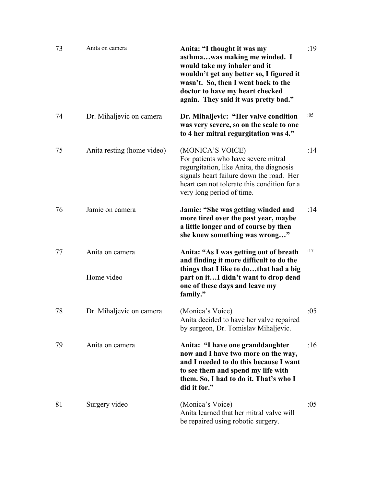| 73 | Anita on camera               | Anita: "I thought it was my<br>asthmawas making me winded. I<br>would take my inhaler and it<br>wouldn't get any better so, I figured it<br>wasn't. So, then I went back to the<br>doctor to have my heart checked<br>again. They said it was pretty bad." | :19 |
|----|-------------------------------|------------------------------------------------------------------------------------------------------------------------------------------------------------------------------------------------------------------------------------------------------------|-----|
| 74 | Dr. Mihaljevic on camera      | Dr. Mihaljevic: "Her valve condition<br>was very severe, so on the scale to one<br>to 4 her mitral regurgitation was 4."                                                                                                                                   | :05 |
| 75 | Anita resting (home video)    | (MONICA'S VOICE)<br>For patients who have severe mitral<br>regurgitation, like Anita, the diagnosis<br>signals heart failure down the road. Her<br>heart can not tolerate this condition for a<br>very long period of time.                                | :14 |
| 76 | Jamie on camera               | Jamie: "She was getting winded and<br>more tired over the past year, maybe<br>a little longer and of course by then<br>she knew something was wrong"                                                                                                       | :14 |
| 77 | Anita on camera<br>Home video | Anita: "As I was getting out of breath<br>and finding it more difficult to do the<br>things that I like to dothat had a big<br>part on itI didn't want to drop dead<br>one of these days and leave my<br>family."                                          | :17 |
| 78 | Dr. Mihaljevic on camera      | (Monica's Voice)<br>Anita decided to have her valve repaired<br>by surgeon, Dr. Tomislav Mihaljevic.                                                                                                                                                       | :05 |
| 79 | Anita on camera               | Anita: "I have one granddaughter<br>now and I have two more on the way,<br>and I needed to do this because I want<br>to see them and spend my life with<br>them. So, I had to do it. That's who I<br>did it for."                                          | :16 |
| 81 | Surgery video                 | (Monica's Voice)<br>Anita learned that her mitral valve will<br>be repaired using robotic surgery.                                                                                                                                                         | :05 |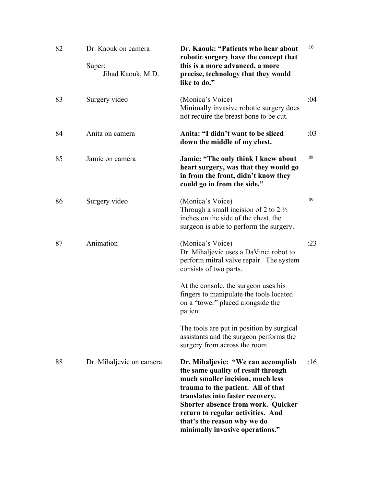| 82 | Dr. Kaouk on camera<br>Super:<br>Jihad Kaouk, M.D. | Dr. Kaouk: "Patients who hear about<br>robotic surgery have the concept that<br>this is a more advanced, a more<br>precise, technology that they would<br>like to do."                                                                                                                                                                     | :10 |
|----|----------------------------------------------------|--------------------------------------------------------------------------------------------------------------------------------------------------------------------------------------------------------------------------------------------------------------------------------------------------------------------------------------------|-----|
| 83 | Surgery video                                      | (Monica's Voice)<br>Minimally invasive robotic surgery does<br>not require the breast bone to be cut.                                                                                                                                                                                                                                      | :04 |
| 84 | Anita on camera                                    | Anita: "I didn't want to be sliced<br>down the middle of my chest.                                                                                                                                                                                                                                                                         | :03 |
| 85 | Jamie on camera                                    | <b>Jamie: "The only think I knew about</b><br>heart surgery, was that they would go<br>in from the front, didn't know they<br>could go in from the side."                                                                                                                                                                                  | :08 |
| 86 | Surgery video                                      | (Monica's Voice)<br>Through a small incision of 2 to 2 $\frac{1}{2}$<br>inches on the side of the chest, the<br>surgeon is able to perform the surgery.                                                                                                                                                                                    | :09 |
| 87 | Animation                                          | (Monica's Voice)<br>Dr. Mihaljevic uses a DaVinci robot to<br>perform mitral valve repair. The system<br>consists of two parts.                                                                                                                                                                                                            | :23 |
|    |                                                    | At the console, the surgeon uses his<br>fingers to manipulate the tools located<br>on a "tower" placed alongside the<br>patient.                                                                                                                                                                                                           |     |
|    |                                                    | The tools are put in position by surgical<br>assistants and the surgeon performs the<br>surgery from across the room.                                                                                                                                                                                                                      |     |
| 88 | Dr. Mihaljevic on camera                           | Dr. Mihaljevic: "We can accomplish<br>the same quality of result through<br>much smaller incision, much less<br>trauma to the patient. All of that<br>translates into faster recovery.<br><b>Shorter absence from work. Quicker</b><br>return to regular activities. And<br>that's the reason why we do<br>minimally invasive operations." | :16 |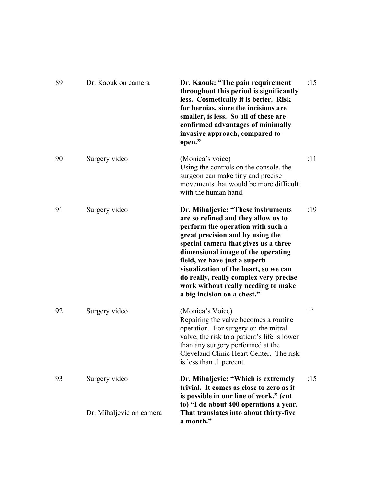| 89 | Dr. Kaouk on camera      | Dr. Kaouk: "The pain requirement<br>throughout this period is significantly<br>less. Cosmetically it is better. Risk<br>for hernias, since the incisions are<br>smaller, is less. So all of these are<br>confirmed advantages of minimally<br>invasive approach, compared to<br>open."                                                                                                                                    | :15 |
|----|--------------------------|---------------------------------------------------------------------------------------------------------------------------------------------------------------------------------------------------------------------------------------------------------------------------------------------------------------------------------------------------------------------------------------------------------------------------|-----|
| 90 | Surgery video            | (Monica's voice)<br>Using the controls on the console, the<br>surgeon can make tiny and precise<br>movements that would be more difficult<br>with the human hand.                                                                                                                                                                                                                                                         | :11 |
| 91 | Surgery video            | Dr. Mihaljevic: "These instruments<br>are so refined and they allow us to<br>perform the operation with such a<br>great precision and by using the<br>special camera that gives us a three<br>dimensional image of the operating<br>field, we have just a superb<br>visualization of the heart, so we can<br>do really, really complex very precise<br>work without really needing to make<br>a big incision on a chest." | :19 |
| 92 | Surgery video            | (Monica's Voice)<br>Repairing the valve becomes a routine<br>operation. For surgery on the mitral<br>valve, the risk to a patient's life is lower<br>than any surgery performed at the<br>Cleveland Clinic Heart Center. The risk<br>is less than $\cdot$ 1 percent.                                                                                                                                                      | :17 |
| 93 | Surgery video            | Dr. Mihaljevic: "Which is extremely<br>trivial. It comes as close to zero as it<br>is possible in our line of work." (cut                                                                                                                                                                                                                                                                                                 | :15 |
|    | Dr. Mihaljevic on camera | to) "I do about 400 operations a year.<br>That translates into about thirty-five<br>a month."                                                                                                                                                                                                                                                                                                                             |     |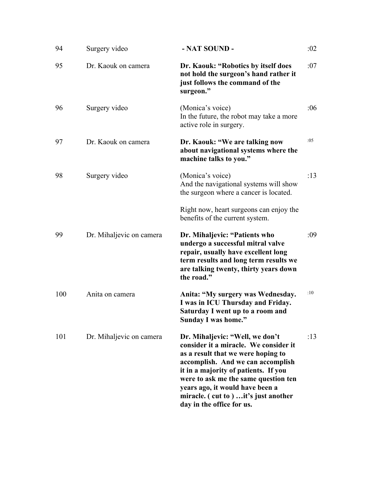| 94  | Surgery video            | - NAT SOUND -                                                                                                                                                                                                                                                                                                                               | :02 |
|-----|--------------------------|---------------------------------------------------------------------------------------------------------------------------------------------------------------------------------------------------------------------------------------------------------------------------------------------------------------------------------------------|-----|
| 95  | Dr. Kaouk on camera      | Dr. Kaouk: "Robotics by itself does<br>not hold the surgeon's hand rather it<br>just follows the command of the<br>surgeon."                                                                                                                                                                                                                | :07 |
| 96  | Surgery video            | (Monica's voice)<br>In the future, the robot may take a more<br>active role in surgery.                                                                                                                                                                                                                                                     | :06 |
| 97  | Dr. Kaouk on camera      | Dr. Kaouk: "We are talking now<br>about navigational systems where the<br>machine talks to you."                                                                                                                                                                                                                                            | :05 |
| 98  | Surgery video            | (Monica's voice)<br>And the navigational systems will show<br>the surgeon where a cancer is located.                                                                                                                                                                                                                                        | :13 |
|     |                          | Right now, heart surgeons can enjoy the<br>benefits of the current system.                                                                                                                                                                                                                                                                  |     |
| 99  | Dr. Mihaljevic on camera | Dr. Mihaljevic: "Patients who<br>undergo a successful mitral valve<br>repair, usually have excellent long<br>term results and long term results we<br>are talking twenty, thirty years down<br>the road."                                                                                                                                   | :09 |
| 100 | Anita on camera          | Anita: "My surgery was Wednesday.<br>I was in ICU Thursday and Friday.<br>Saturday I went up to a room and<br>Sunday I was home."                                                                                                                                                                                                           | :10 |
| 101 | Dr. Mihaljevic on camera | Dr. Mihaljevic: "Well, we don't<br>consider it a miracle. We consider it<br>as a result that we were hoping to<br>accomplish. And we can accomplish<br>it in a majority of patients. If you<br>were to ask me the same question ten<br>years ago, it would have been a<br>miracle. (cut to)  it's just another<br>day in the office for us. | :13 |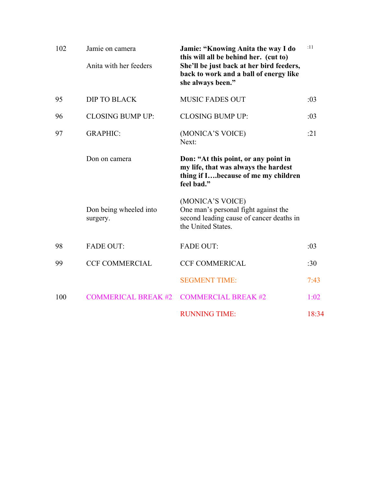| 102 | Jamie on camera<br>Anita with her feeders | Jamie: "Knowing Anita the way I do<br>this will all be behind her. (cut to)<br>She'll be just back at her bird feeders,<br>back to work and a ball of energy like<br>she always been." | :11   |
|-----|-------------------------------------------|----------------------------------------------------------------------------------------------------------------------------------------------------------------------------------------|-------|
| 95  | <b>DIP TO BLACK</b>                       | <b>MUSIC FADES OUT</b>                                                                                                                                                                 | :03   |
| 96  | <b>CLOSING BUMP UP:</b>                   | <b>CLOSING BUMP UP:</b>                                                                                                                                                                | :03   |
| 97  | <b>GRAPHIC:</b>                           | (MONICA'S VOICE)<br>Next:                                                                                                                                                              | :21   |
|     | Don on camera                             | Don: "At this point, or any point in<br>my life, that was always the hardest<br>thing if Ibecause of me my children<br>feel bad."                                                      |       |
|     | Don being wheeled into<br>surgery.        | (MONICA'S VOICE)<br>One man's personal fight against the<br>second leading cause of cancer deaths in<br>the United States.                                                             |       |
| 98  | <b>FADE OUT:</b>                          | <b>FADE OUT:</b>                                                                                                                                                                       | :03   |
| 99  | <b>CCF COMMERCIAL</b>                     | <b>CCF COMMERICAL</b>                                                                                                                                                                  | :30   |
|     |                                           | <b>SEGMENT TIME:</b>                                                                                                                                                                   | 7:43  |
| 100 | <b>COMMERICAL BREAK #2</b>                | <b>COMMERCIAL BREAK #2</b>                                                                                                                                                             | 1:02  |
|     |                                           | <b>RUNNING TIME:</b>                                                                                                                                                                   | 18:34 |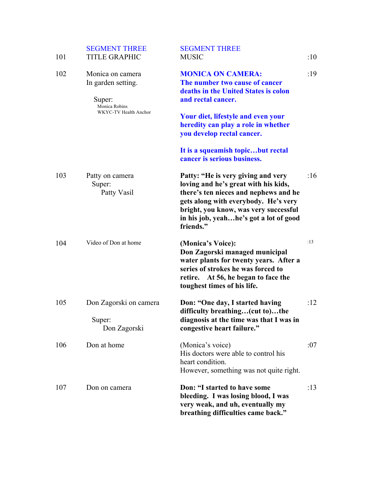| 101 | <b>SEGMENT THREE</b><br><b>TITLE GRAPHIC</b>                                               | <b>SEGMENT THREE</b><br><b>MUSIC</b>                                                                                                                                                                                                                        | :10 |
|-----|--------------------------------------------------------------------------------------------|-------------------------------------------------------------------------------------------------------------------------------------------------------------------------------------------------------------------------------------------------------------|-----|
| 102 | Monica on camera<br>In garden setting.<br>Super:<br>Monica Robins<br>WKYC-TV Health Anchor | <b>MONICA ON CAMERA:</b><br>The number two cause of cancer<br>deaths in the United States is colon<br>and rectal cancer.<br><b>Your diet, lifestyle and even your</b><br>heredity can play a role in whether<br>you develop rectal cancer.                  | :19 |
|     |                                                                                            | It is a squeamish topicbut rectal<br>cancer is serious business.                                                                                                                                                                                            |     |
| 103 | Patty on camera<br>Super:<br>Patty Vasil                                                   | Patty: "He is very giving and very<br>loving and he's great with his kids,<br>there's ten nieces and nephews and he<br>gets along with everybody. He's very<br>bright, you know, was very successful<br>in his job, yeahhe's got a lot of good<br>friends." | :16 |
| 104 | Video of Don at home                                                                       | (Monica's Voice):<br>Don Zagorski managed municipal<br>water plants for twenty years. After a<br>series of strokes he was forced to<br>retire. At 56, he began to face the<br>toughest times of his life.                                                   | :13 |
| 105 | Don Zagorski on camera<br>Super:<br>Don Zagorski                                           | Don: "One day, I started having<br>difficulty breathing(cut to)the<br>diagnosis at the time was that I was in<br>congestive heart failure."                                                                                                                 | :12 |
| 106 | Don at home                                                                                | (Monica's voice)<br>His doctors were able to control his<br>heart condition.<br>However, something was not quite right.                                                                                                                                     | :07 |
| 107 | Don on camera                                                                              | Don: "I started to have some<br>bleeding. I was losing blood, I was<br>very weak, and uh, eventually my<br>breathing difficulties came back."                                                                                                               | :13 |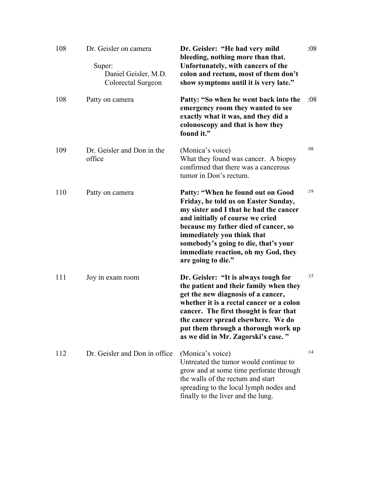| 108 | Dr. Geisler on camera<br>Super:<br>Daniel Geisler, M.D.<br>Colorectal Surgeon | Dr. Geisler: "He had very mild<br>bleeding, nothing more than that.<br>Unfortunately, with cancers of the<br>colon and rectum, most of them don't<br>show symptoms until it is very late."                                                                                                                                         | :08 |
|-----|-------------------------------------------------------------------------------|------------------------------------------------------------------------------------------------------------------------------------------------------------------------------------------------------------------------------------------------------------------------------------------------------------------------------------|-----|
| 108 | Patty on camera                                                               | Patty: "So when he went back into the<br>emergency room they wanted to see<br>exactly what it was, and they did a<br>colonoscopy and that is how they<br>found it."                                                                                                                                                                | :08 |
| 109 | Dr. Geisler and Don in the<br>office                                          | (Monica's voice)<br>What they found was cancer. A biopsy<br>confirmed that there was a cancerous<br>tumor in Don's rectum.                                                                                                                                                                                                         | :08 |
| 110 | Patty on camera                                                               | Patty: "When he found out on Good<br>Friday, he told us on Easter Sunday,<br>my sister and I that he had the cancer<br>and initially of course we cried<br>because my father died of cancer, so<br>immediately you think that<br>somebody's going to die, that's your<br>immediate reaction, oh my God, they<br>are going to die." | :19 |
| 111 | Joy in exam room                                                              | Dr. Geisler: "It is always tough for<br>the patient and their family when they<br>get the new diagnosis of a cancer,<br>whether it is a rectal cancer or a colon<br>cancer. The first thought is fear that<br>the cancer spread elsewhere. We do<br>put them through a thorough work up<br>as we did in Mr. Zagorski's case."      | :15 |
| 112 | Dr. Geisler and Don in office                                                 | (Monica's voice)<br>Untreated the tumor would continue to<br>grow and at some time perforate through<br>the walls of the rectum and start<br>spreading to the local lymph nodes and<br>finally to the liver and the lung.                                                                                                          | :14 |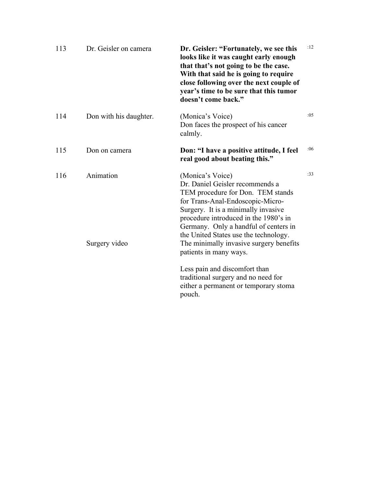| 113 | Dr. Geisler on camera      | Dr. Geisler: "Fortunately, we see this<br>looks like it was caught early enough<br>that that's not going to be the case.<br>With that said he is going to require<br>close following over the next couple of<br>year's time to be sure that this tumor<br>doesn't come back."                                                                                       | :12 |
|-----|----------------------------|---------------------------------------------------------------------------------------------------------------------------------------------------------------------------------------------------------------------------------------------------------------------------------------------------------------------------------------------------------------------|-----|
| 114 | Don with his daughter.     | (Monica's Voice)<br>Don faces the prospect of his cancer<br>calmly.                                                                                                                                                                                                                                                                                                 | :05 |
| 115 | Don on camera              | Don: "I have a positive attitude, I feel<br>real good about beating this."                                                                                                                                                                                                                                                                                          | :06 |
| 116 | Animation<br>Surgery video | (Monica's Voice)<br>Dr. Daniel Geisler recommends a<br>TEM procedure for Don. TEM stands<br>for Trans-Anal-Endoscopic-Micro-<br>Surgery. It is a minimally invasive<br>procedure introduced in the 1980's in<br>Germany. Only a handful of centers in<br>the United States use the technology.<br>The minimally invasive surgery benefits<br>patients in many ways. | :33 |
|     |                            | Less pain and discomfort than<br>traditional surgery and no need for<br>either a permanent or temporary stoma<br>pouch.                                                                                                                                                                                                                                             |     |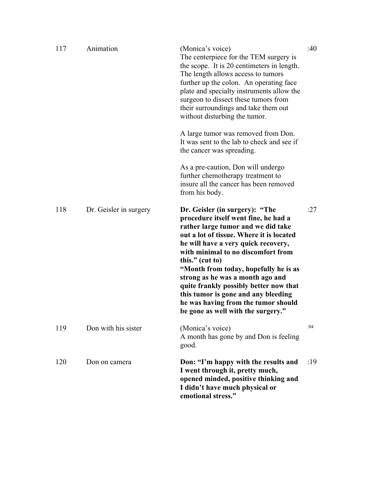| 117 | Animation              | (Monica's voice)<br>The centerpiece for the TEM surgery is<br>the scope. It is 20 centimeters in length.<br>The length allows access to tumors<br>further up the colon. An operating face<br>plate and specialty instruments allow the<br>surgeon to dissect these tumors from<br>their surroundings and take them out<br>without disturbing the tumor.                                                                                                                                               | :40 |
|-----|------------------------|-------------------------------------------------------------------------------------------------------------------------------------------------------------------------------------------------------------------------------------------------------------------------------------------------------------------------------------------------------------------------------------------------------------------------------------------------------------------------------------------------------|-----|
|     |                        | A large tumor was removed from Don.<br>It was sent to the lab to check and see if<br>the cancer was spreading.                                                                                                                                                                                                                                                                                                                                                                                        |     |
|     |                        | As a pre-caution, Don will undergo<br>further chemotherapy treatment to<br>insure all the cancer has been removed<br>from his body.                                                                                                                                                                                                                                                                                                                                                                   |     |
| 118 | Dr. Geisler in surgery | Dr. Geisler (in surgery): "The<br>procedure itself went fine, he had a<br>rather large tumor and we did take<br>out a lot of tissue. Where it is located<br>he will have a very quick recovery,<br>with minimal to no discomfort from<br>this." $(cut to)$<br>"Month from today, hopefully he is as<br>strong as he was a month ago and<br>quite frankly possibly better now that<br>this tumor is gone and any bleeding<br>he was having from the tumor should<br>be gone as well with the surgery." | :27 |
| 119 | Don with his sister    | (Monica's voice)<br>A month has gone by and Don is feeling<br>good.                                                                                                                                                                                                                                                                                                                                                                                                                                   | :04 |
| 120 | Don on camera          | Don: "I'm happy with the results and<br>I went through it, pretty much,<br>opened minded, positive thinking and<br>I didn't have much physical or<br>emotional stress."                                                                                                                                                                                                                                                                                                                               | :19 |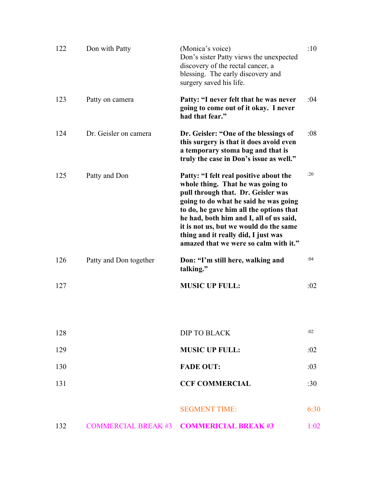| 122 | Don with Patty         | (Monica's voice)<br>Don's sister Patty views the unexpected<br>discovery of the rectal cancer, a<br>blessing. The early discovery and<br>surgery saved his life.                                                                                                                                                                                                           | :10  |
|-----|------------------------|----------------------------------------------------------------------------------------------------------------------------------------------------------------------------------------------------------------------------------------------------------------------------------------------------------------------------------------------------------------------------|------|
| 123 | Patty on camera        | Patty: "I never felt that he was never<br>going to come out of it okay. I never<br>had that fear."                                                                                                                                                                                                                                                                         | :04  |
| 124 | Dr. Geisler on camera  | Dr. Geisler: "One of the blessings of<br>this surgery is that it does avoid even<br>a temporary stoma bag and that is<br>truly the case in Don's issue as well."                                                                                                                                                                                                           | :08  |
| 125 | Patty and Don          | Patty: "I felt real positive about the<br>whole thing. That he was going to<br>pull through that. Dr. Geisler was<br>going to do what he said he was going<br>to do, he gave him all the options that<br>he had, both him and I, all of us said,<br>it is not us, but we would do the same<br>thing and it really did, I just was<br>amazed that we were so calm with it." | :20  |
| 126 | Patty and Don together | Don: "I'm still here, walking and<br>talking."                                                                                                                                                                                                                                                                                                                             | :04  |
| 127 |                        | <b>MUSIC UP FULL:</b>                                                                                                                                                                                                                                                                                                                                                      | :02  |
| 128 |                        | <b>DIP TO BLACK</b>                                                                                                                                                                                                                                                                                                                                                        | :02  |
| 129 |                        | <b>MUSIC UP FULL:</b>                                                                                                                                                                                                                                                                                                                                                      | :02  |
| 130 |                        | <b>FADE OUT:</b>                                                                                                                                                                                                                                                                                                                                                           | :03  |
| 131 |                        | <b>CCF COMMERCIAL</b>                                                                                                                                                                                                                                                                                                                                                      | :30  |
|     |                        | <b>SEGMENT TIME:</b>                                                                                                                                                                                                                                                                                                                                                       | 6:30 |
| 132 |                        | COMMERCIAL BREAK #3 COMMERICIAL BREAK #3                                                                                                                                                                                                                                                                                                                                   | 1:02 |
|     |                        |                                                                                                                                                                                                                                                                                                                                                                            |      |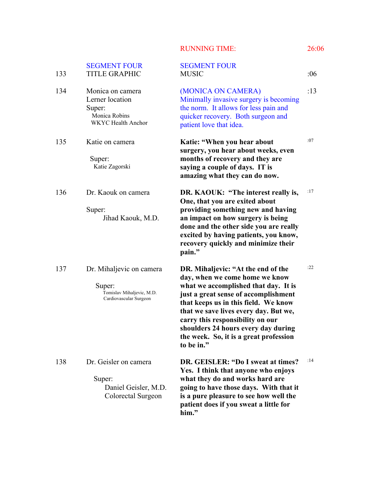|  | <b>RUNNING TIME:</b> |  |
|--|----------------------|--|
|  |                      |  |

| 133 | <b>SEGMENT FOUR</b><br><b>TITLE GRAPHIC</b>                                                 | <b>SEGMENT FOUR</b><br><b>MUSIC</b>                                                                                                                                                                                                                                                                                                                                      | :06 |
|-----|---------------------------------------------------------------------------------------------|--------------------------------------------------------------------------------------------------------------------------------------------------------------------------------------------------------------------------------------------------------------------------------------------------------------------------------------------------------------------------|-----|
| 134 | Monica on camera<br>Lerner location<br>Super:<br>Monica Robins<br><b>WKYC</b> Health Anchor | (MONICA ON CAMERA)<br>Minimally invasive surgery is becoming<br>the norm. It allows for less pain and<br>quicker recovery. Both surgeon and<br>patient love that idea.                                                                                                                                                                                                   | :13 |
| 135 | Katie on camera<br>Super:<br>Katie Zagorski                                                 | Katie: "When you hear about<br>surgery, you hear about weeks, even<br>months of recovery and they are<br>saying a couple of days. IT is<br>amazing what they can do now.                                                                                                                                                                                                 | :07 |
| 136 | Dr. Kaouk on camera<br>Super:<br>Jihad Kaouk, M.D.                                          | DR. KAOUK: "The interest really is,<br>One, that you are exited about<br>providing something new and having<br>an impact on how surgery is being<br>done and the other side you are really<br>excited by having patients, you know,<br>recovery quickly and minimize their<br>pain."                                                                                     | :17 |
| 137 | Dr. Mihaljevic on camera<br>Super:<br>Tomislav Mihaljevic, M.D.<br>Cardiovascular Surgeon   | DR. Mihaljevic: "At the end of the<br>day, when we come home we know<br>what we accomplished that day. It is<br>just a great sense of accomplishment<br>that keeps us in this field. We know<br>that we save lives every day. But we,<br>carry this responsibility on our<br>shoulders 24 hours every day during<br>the week. So, it is a great profession<br>to be in." | :22 |
| 138 | Dr. Geisler on camera<br>Super:<br>Daniel Geisler, M.D.<br>Colorectal Surgeon               | DR. GEISLER: "Do I sweat at times?<br>Yes. I think that anyone who enjoys<br>what they do and works hard are<br>going to have those days. With that it<br>is a pure pleasure to see how well the<br>patient does if you sweat a little for<br>him."                                                                                                                      | :14 |

**26:06**